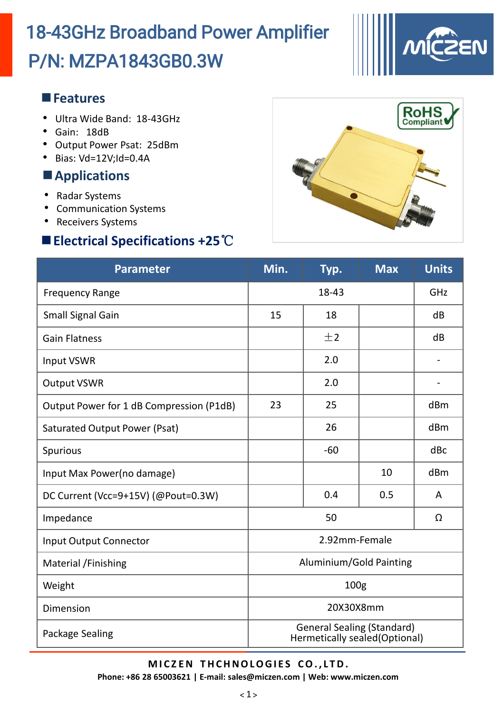# P/N: MZPA1843GB0.3W 18-43GHz Broadband Power Amplifier



#### **Features**

- Ultra Wide Band: 18-43GHz
- Gain: 18dB
- Output Power Psat: 25dBm
- Bias: Vd=12V;Id=0.4A

### **Applications**

- Radar Systems
- Communication Systems
- Receivers Systems

### **Electrical Specifications +25**℃



| <b>Parameter</b>                         | Min.                                                                | Typ.  | <b>Max</b> | <b>Units</b> |
|------------------------------------------|---------------------------------------------------------------------|-------|------------|--------------|
| <b>Frequency Range</b>                   | 18-43                                                               |       |            | GHz          |
| <b>Small Signal Gain</b>                 | 15                                                                  | 18    |            | dB           |
| <b>Gain Flatness</b>                     |                                                                     | ±2    |            | dB           |
| <b>Input VSWR</b>                        |                                                                     | 2.0   |            |              |
| <b>Output VSWR</b>                       |                                                                     | 2.0   |            |              |
| Output Power for 1 dB Compression (P1dB) | 23                                                                  | 25    |            | dBm          |
| Saturated Output Power (Psat)            |                                                                     | 26    |            | dBm          |
| Spurious                                 |                                                                     | $-60$ |            | dBc          |
| Input Max Power(no damage)               |                                                                     |       | 10         | dBm          |
| DC Current (Vcc=9+15V) (@Pout=0.3W)      |                                                                     | 0.4   | 0.5        | A            |
| Impedance                                | 50                                                                  |       |            | Ω            |
| <b>Input Output Connector</b>            | 2.92mm-Female                                                       |       |            |              |
| Material /Finishing                      | Aluminium/Gold Painting                                             |       |            |              |
| Weight                                   | 100 <sub>g</sub>                                                    |       |            |              |
| Dimension                                | 20X30X8mm                                                           |       |            |              |
| Package Sealing                          | <b>General Sealing (Standard)</b><br>Hermetically sealed (Optional) |       |            |              |

#### **M I C Z EN T HCHNOLOGI E S CO. , L TD.**

**Phone: +86 28 65003621 | E-mail: sales@miczen.com | Web: www.miczen.com**